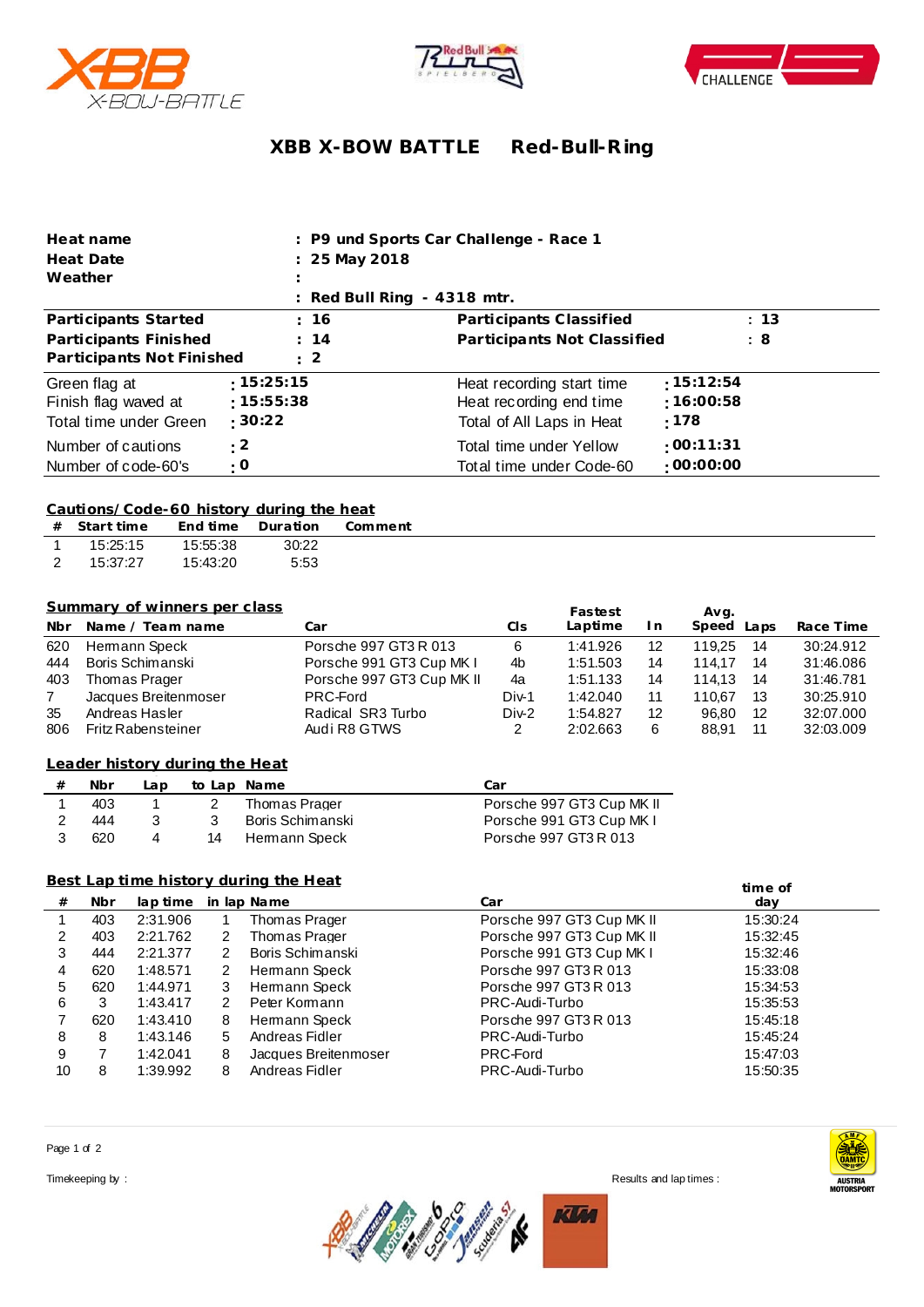





# **XBB X-BOW BATTLE Red-Bull-R ing**

| Heat name                                                       |                                       | : P9 und Sports Car Challenge - Race 1                                            |                                |
|-----------------------------------------------------------------|---------------------------------------|-----------------------------------------------------------------------------------|--------------------------------|
| Heat Date                                                       | : 25 May 2018                         |                                                                                   |                                |
| Weather                                                         |                                       |                                                                                   |                                |
|                                                                 |                                       | $\therefore$ Red Bull Ring - 4318 mtr.                                            |                                |
| Participants Started                                            | : 16                                  | Participants Classified                                                           | : 13                           |
| Participants Finished                                           | : 14                                  | Participants Not Classified                                                       | : 8                            |
| Participants Not Finished                                       | $\therefore$ 2                        |                                                                                   |                                |
| Green flag at<br>Finish flag waved at<br>Total time under Green | :15:25:15<br>:15:55:38<br>$\pm 30:22$ | Heat recording start time<br>Heat recording end time<br>Total of All Laps in Heat | :15:12:54<br>:16:00:58<br>:178 |
| Number of cautions<br>Number of code-60's                       | : 2<br>: 0                            | Total time under Yellow<br>Total time under Code-60                               | :00:11:31<br>$-00:00:00$       |

#### **Cautions/Code-60 history during the heat**

|                | $#$ Start time |          | End time Duration | Comment |
|----------------|----------------|----------|-------------------|---------|
|                | 15:25:15       | 15:55:38 | 30:22             |         |
| $\overline{2}$ | 15:37:27       | 15:43:20 | 5:53              |         |

## **Summary of winners per class**

|                | <b>Summary of winners per class</b> |                           |       | Fastest  |     | Avg.          |           |
|----------------|-------------------------------------|---------------------------|-------|----------|-----|---------------|-----------|
| <b>Nbr</b>     | Name / Team name                    | Car                       | CIs   | Laptime  | I n | Speed<br>Laps | Race Time |
| 620            | Hemann Speck                        | Porsche 997 GT3 R 013     | 6     | 1:41.926 | 12  | -14<br>119.25 | 30:24.912 |
| 444            | Boris Schimanski                    | Porsche 991 GT3 Cup MK I  | 4b    | 1:51.503 | 14  | 14<br>114.17  | 31:46.086 |
| 403            | Thomas Prager                       | Porsche 997 GT3 Cup MK II | 4a    | 1:51.133 | 14  | 114.13<br>14  | 31:46.781 |
| $\overline{7}$ | Jacques Breitenmoser                | PRC-Ford                  | Div-1 | 1:42.040 | 11  | 110.67<br>13  | 30:25.910 |
| 35             | Andreas Hasler                      | Radical SR3 Turbo         | Div-2 | 1:54.827 | 12  | 12<br>96.80   | 32:07.000 |
| 806            | <b>Fritz Rabensteiner</b>           | Audi R8 GTWS              | 2     | 2:02.663 | 6   | 11<br>88.91   | 32:03.009 |

## **from Leader history dur ing the Heat**

| Nbr | ∟ap |    | to Lap Name      | Car                       |
|-----|-----|----|------------------|---------------------------|
| 403 |     |    | Thomas Prager    | Porsche 997 GT3 Cup MK II |
| 444 |     |    | Boris Schimanski | Porsche 991 GT3 Cup MK I  |
| 620 |     | 14 | Hermann Speck    | Porsche 997 GT3 R 013     |

### **Best Lap time history during the Heat**

|    |     |          |   | <u>Best Lab time history during the Heat</u> |                           | time of  |  |
|----|-----|----------|---|----------------------------------------------|---------------------------|----------|--|
| #  | Nbr | lap time |   | in lap Name                                  | Car                       | day      |  |
|    | 403 | 2:31.906 |   | Thomas Prager                                | Porsche 997 GT3 Cup MK II | 15:30:24 |  |
| 2  | 403 | 2:21.762 | 2 | Thomas Prager                                | Porsche 997 GT3 Cup MK II | 15:32:45 |  |
| 3  | 444 | 2:21.377 | 2 | Boris Schimanski                             | Porsche 991 GT3 Cup MK I  | 15:32:46 |  |
| 4  | 620 | 1:48.571 | 2 | Hemann Speck                                 | Porsche 997 GT3 R 013     | 15:33:08 |  |
| 5  | 620 | 1:44.971 | 3 | Hemann Speck                                 | Porsche 997 GT3 R 013     | 15:34:53 |  |
| 6  |     | 1:43.417 | 2 | Peter Kormann                                | PRC-Audi-Turbo            | 15:35:53 |  |
|    | 620 | 1:43.410 | 8 | Hermann Speck                                | Porsche 997 GT3 R 013     | 15:45:18 |  |
| 8  | 8   | 1:43.146 | 5 | Andreas Fidler                               | PRC-Audi-Turbo            | 15:45:24 |  |
| 9  |     | 1:42.041 | 8 | Jacques Breitenmoser                         | PRC-Ford                  | 15:47:03 |  |
| 10 | 8   | 1:39.992 | 8 | Andreas Fidler                               | PRC-Audi-Turbo            | 15:50:35 |  |